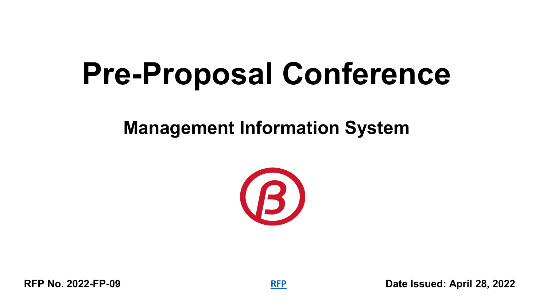# **Pre-Proposal Conference**

### **Management Information System**

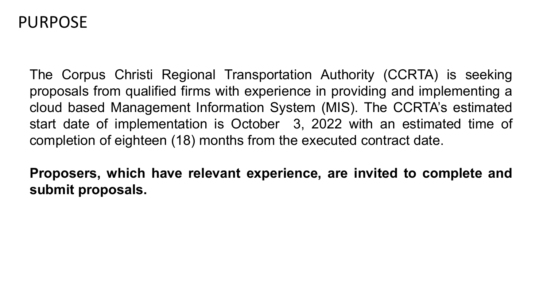### PURPOSE

The Corpus Christi Regional Transportation Authority (CCRTA) is seeking proposals from qualified firms with experience in providing and implementing a cloud based Management Information System (MIS). The CCRTA's estimated start date of implementation is October 3, 2022 with an estimated time of completion of eighteen (18) months from the executed contract date.

**Proposers, which have relevant experience, are invited to complete and submit proposals.**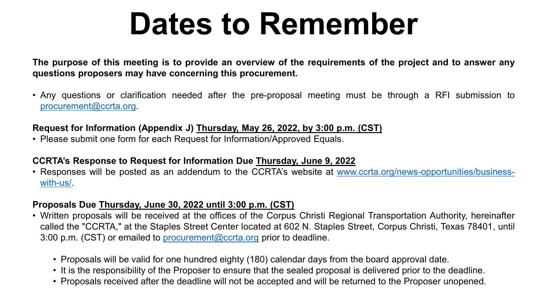# **Dates to Remember**

The purpose of this meeting is to provide an overview of the requirements of the project and to answer any **questions proposers may have concerning this procurement.**

• Any questions or clarification needed after the pre-proposal meeting must be through a RFI submission to [procurement@ccrta.org.](mailto:procurement@ccrta.org)

#### **Request for Information (Appendix J) Thursday, May 26, 2022, by 3:00 p.m. (CST)**

• Please submit one form for each Request for Information/Approved Equals.

#### **CCRTA's Response to Request for Information Due Thursday, June 9, 2022**

• Responses will be posted as an addendum to the CCRTA's website at [www.ccrta.org/news-opportunities/business](http://www.ccrta.org/news-opportunities/business-with-us/)with-us/.

#### **Proposals Due Thursday, June 30, 2022 until 3:00 p.m. (CST)**

- Written proposals will be received at the offices of the Corpus Christi Regional Transportation Authority, hereinafter called the "CCRTA," at the Staples Street Center located at 602 N. Staples Street, Corpus Christi, Texas 78401, until 3:00 p.m. (CST) or emailed to [procurement@ccrta.org](mailto:procurement@ccrta.org) prior to deadline.
	- Proposals will be valid for one hundred eighty (180) calendar days from the board approval date.
	- It is the responsibility of the Proposer to ensure that the sealed proposal is delivered prior to the deadline.
	- Proposals received after the deadline will not be accepted and will be returned to the Proposer unopened.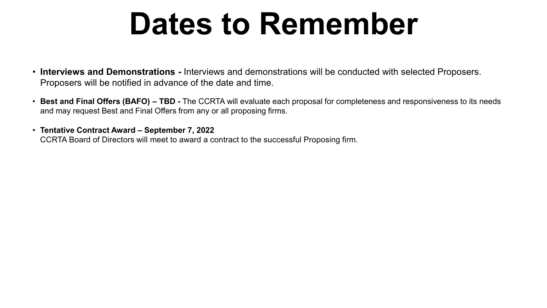## **Dates to Remember**

- **Interviews and Demonstrations -** Interviews and demonstrations will be conducted with selected Proposers. Proposers will be notified in advance of the date and time.
- **Best and Final Offers (BAFO) – TBD -** The CCRTA will evaluate each proposal for completeness and responsiveness to its needs and may request Best and Final Offers from any or all proposing firms.
- **Tentative Contract Award – September 7, 2022** CCRTA Board of Directors will meet to award a contract to the successful Proposing firm.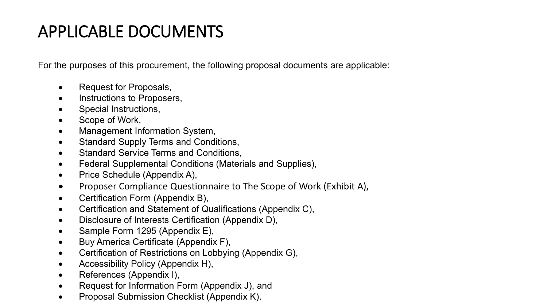### APPLICABLE DOCUMENTS

For the purposes of this procurement, the following proposal documents are applicable:

- Request for Proposals,
- Instructions to Proposers,
- Special Instructions,
- Scope of Work,
- Management Information System,
- Standard Supply Terms and Conditions,
- Standard Service Terms and Conditions,
- Federal Supplemental Conditions (Materials and Supplies),
- Price Schedule (Appendix A),
- Proposer Compliance Questionnaire to The Scope of Work (Exhibit A),
- Certification Form (Appendix B),
- Certification and Statement of Qualifications (Appendix C),
- Disclosure of Interests Certification (Appendix D),
- Sample Form 1295 (Appendix E),
- Buy America Certificate (Appendix F),
- Certification of Restrictions on Lobbying (Appendix G),
- Accessibility Policy (Appendix H),
- References (Appendix I),
- Request for Information Form (Appendix J), and
- Proposal Submission Checklist (Appendix K).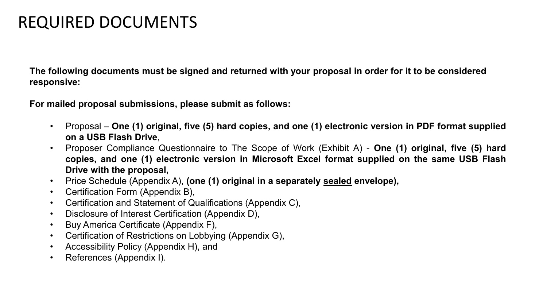### REQUIRED DOCUMENTS

**The following documents must be signed and returned with your proposal in order for it to be considered responsive:**

**For mailed proposal submissions, please submit as follows:**

- Proposal **One (1) original, five (5) hard copies, and one (1) electronic version in PDF format supplied on a USB Flash Drive**,
- Proposer Compliance Questionnaire to The Scope of Work (Exhibit A) **One (1) original, five (5) hard copies, and one (1) electronic version in Microsoft Excel format supplied on the same USB Flash Drive with the proposal,**
- Price Schedule (Appendix A), **(one (1) original in a separately sealed envelope),**
- Certification Form (Appendix B),
- Certification and Statement of Qualifications (Appendix C),
- Disclosure of Interest Certification (Appendix D),
- Buy America Certificate (Appendix F),
- Certification of Restrictions on Lobbying (Appendix G),
- Accessibility Policy (Appendix H), and
- References (Appendix I).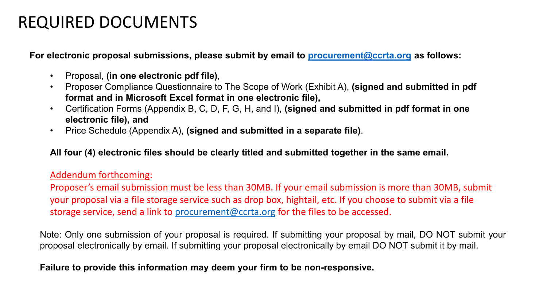### REQUIRED DOCUMENTS

**For electronic proposal submissions, please submit by email to [procurement@ccrta.org](mailto:procurement@ccrta.org) as follows:**

- Proposal, **(in one electronic pdf file)**,
- Proposer Compliance Questionnaire to The Scope of Work (Exhibit A), **(signed and submitted in pdf format and in Microsoft Excel format in one electronic file),**
- Certification Forms (Appendix B, C, D, F, G, H, and I), **(signed and submitted in pdf format in one electronic file), and**
- Price Schedule (Appendix A), **(signed and submitted in a separate file)**.

**All four (4) electronic files should be clearly titled and submitted together in the same email.**

#### Addendum forthcoming:

Proposer's email submission must be less than 30MB. If your email submission is more than 30MB, submit your proposal via a file storage service such as drop box, hightail, etc. If you choose to submit via a file storage service, send a link to [procurement@ccrta.org](mailto:procurement@ccrta.org) for the files to be accessed.

Note: Only one submission of your proposal is required. If submitting your proposal by mail, DO NOT submit your proposal electronically by email. If submitting your proposal electronically by email DO NOT submit it by mail.

#### **Failure to provide this information may deem your firm to be non-responsive.**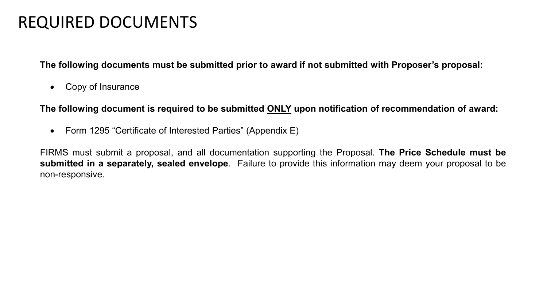### REQUIRED DOCUMENTS

**The following documents must be submitted prior to award if not submitted with Proposer's proposal:**

• Copy of Insurance

**The following document is required to be submitted ONLY upon notification of recommendation of award:**

• Form 1295 "Certificate of Interested Parties" (Appendix E)

FIRMS must submit a proposal, and all documentation supporting the Proposal. **The Price Schedule must be submitted in a separately, sealed envelope**. Failure to provide this information may deem your proposal to be non-responsive.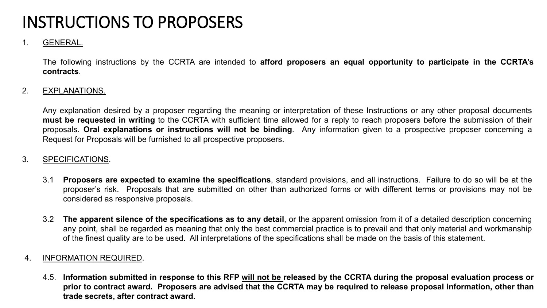#### 1. GENERAL.

The following instructions by the CCRTA are intended to **afford proposers an equal opportunity to participate in the CCRTA's contracts**.

#### 2. EXPLANATIONS.

Any explanation desired by a proposer regarding the meaning or interpretation of these Instructions or any other proposal documents **must be requested in writing** to the CCRTA with sufficient time allowed for a reply to reach proposers before the submission of their proposals. **Oral explanations or instructions will not be binding**. Any information given to a prospective proposer concerning a Request for Proposals will be furnished to all prospective proposers.

#### 3. SPECIFICATIONS.

- 3.1 **Proposers are expected to examine the specifications**, standard provisions, and all instructions. Failure to do so will be at the proposer's risk. Proposals that are submitted on other than authorized forms or with different terms or provisions may not be considered as responsive proposals.
- 3.2 **The apparent silence of the specifications as to any detail**, or the apparent omission from it of a detailed description concerning any point, shall be regarded as meaning that only the best commercial practice is to prevail and that only material and workmanship of the finest quality are to be used. All interpretations of the specifications shall be made on the basis of this statement.

#### 4. INFORMATION REQUIRED.

4.5. Information submitted in response to this RFP will not be released by the CCRTA during the proposal evaluation process or prior to contract award. Proposers are advised that the CCRTA may be required to release proposal information, other than **trade secrets, after contract award.**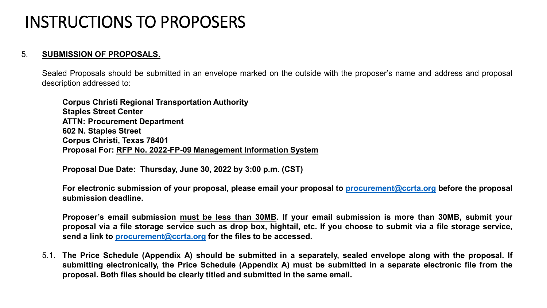#### 5. **SUBMISSION OF PROPOSALS.**

Sealed Proposals should be submitted in an envelope marked on the outside with the proposer's name and address and proposal description addressed to:

**Corpus Christi Regional Transportation Authority Staples Street Center ATTN: Procurement Department 602 N. Staples Street Corpus Christi, Texas 78401 Proposal For: RFP No. 2022-FP-09 Management Information System**

**Proposal Due Date: Thursday, June 30, 2022 by 3:00 p.m. (CST)**

**For electronic submission of your proposal, please email your proposal to [procurement@ccrta.org](mailto:procurement@ccrta.org) before the proposal submission deadline.**

Proposer's email submission must be less than 30MB. If your email submission is more than 30MB, submit your proposal via a file storage service such as drop box, hightail, etc. If you choose to submit via a file storage service, **send a link to [procurement@ccrta.org](mailto:procurement@ccrta.org) for the files to be accessed.**

5.1. The Price Schedule (Appendix A) should be submitted in a separately, sealed envelope along with the proposal. If submitting electronically, the Price Schedule (Appendix A) must be submitted in a separate electronic file from the **proposal. Both files should be clearly titled and submitted in the same email.**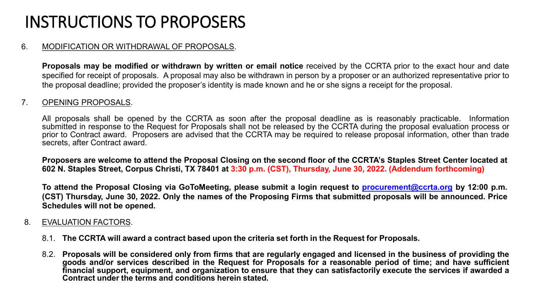#### 6. MODIFICATION OR WITHDRAWAL OF PROPOSALS.

**Proposals may be modified or withdrawn by written or email notice** received by the CCRTA prior to the exact hour and date specified for receipt of proposals. A proposal may also be withdrawn in person by a proposer or an authorized representative prior to the proposal deadline; provided the proposer's identity is made known and he or she signs a receipt for the proposal.

#### 7. OPENING PROPOSALS.

All proposals shall be opened by the CCRTA as soon after the proposal deadline as is reasonably practicable. Information submitted in response to the Request for Proposals shall not be released by the CCRTA during the proposal evaluation process or prior to Contract award. Proposers are advised that the CCRTA may be required to release proposal information, other than trade secrets, after Contract award.

Proposers are welcome to attend the Proposal Closing on the second floor of the CCRTA's Staples Street Center located at 602 N. Staples Street, Corpus Christi, TX 78401 at 3:30 p.m. (CST), Thursday, June 30, 2022. (Addendum forthcoming)

To attend the Proposal Closing via GoToMeeting, please submit a login request to [procurement@ccrta.org](mailto:procurement@ccrta.org) by 12:00 p.m. (CST) Thursday, June 30, 2022. Only the names of the Proposing Firms that submitted proposals will be announced. Price **Schedules will not be opened.**

#### 8. EVALUATION FACTORS.

- 8.1. **The CCRTA will award a contract based upon the criteria set forth in the Request for Proposals.**
- 8.2. Proposals will be considered only from firms that are regularly engaged and licensed in the business of providing the goods and/or services described in the Request for Proposals for a reasonable period of time; and have sufficient financial support, equipment, and organization to ensure that they can satisfactorily execute the services if awarded a **Contract under the terms and conditions herein stated.**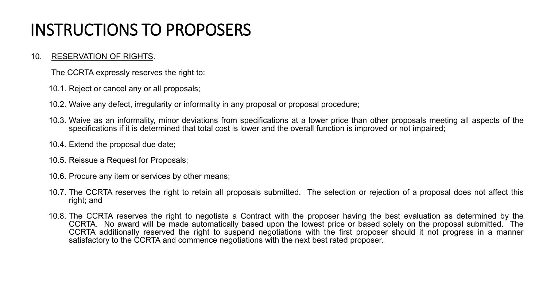#### 10. RESERVATION OF RIGHTS.

The CCRTA expressly reserves the right to:

- 10.1. Reject or cancel any or all proposals;
- 10.2. Waive any defect, irregularity or informality in any proposal or proposal procedure;
- 10.3. Waive as an informality, minor deviations from specifications at a lower price than other proposals meeting all aspects of the specifications if it is determined that total cost is lower and the overall function is improved or not impaired;
- 10.4. Extend the proposal due date;
- 10.5. Reissue a Request for Proposals;
- 10.6. Procure any item or services by other means;
- 10.7. The CCRTA reserves the right to retain all proposals submitted. The selection or rejection of a proposal does not affect this right; and
- 10.8. The CCRTA reserves the right to negotiate a Contract with the proposer having the best evaluation as determined by the CCRTA. No award will be made automatically based upon the lowest price or based solely on the proposal submitted. The CCRTA additionally reserved the right to suspend negotiations with the first proposer should it not progress in a manner satisfactory to the CCRTA and commence negotiations with the next best rated proposer.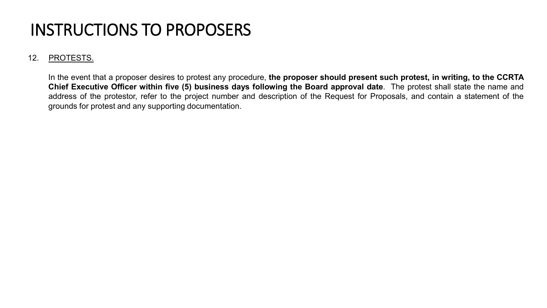#### 12. PROTESTS.

In the event that a proposer desires to protest any procedure, **the proposer should present such protest, in writing, to the CCRTA Chief Executive Officer within five (5) business days following the Board approval date**. The protest shall state the name and address of the protestor, refer to the project number and description of the Request for Proposals, and contain a statement of the grounds for protest and any supporting documentation.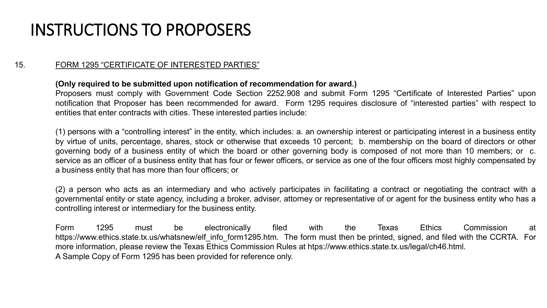#### 15. FORM 1295 "CERTIFICATE OF INTERESTED PARTIES"

#### **(Only required to be submitted upon notification of recommendation for award.)**

Proposers must comply with Government Code Section 2252.908 and submit Form 1295 "Certificate of Interested Parties" upon notification that Proposer has been recommended for award. Form 1295 requires disclosure of "interested parties" with respect to entities that enter contracts with cities. These interested parties include:

(1) persons with a "controlling interest" in the entity, which includes: a. an ownership interest or participating interest in a business entity by virtue of units, percentage, shares, stock or otherwise that exceeds 10 percent; b. membership on the board of directors or other governing body of a business entity of which the board or other governing body is composed of not more than 10 members; or c. service as an officer of a business entity that has four or fewer officers, or service as one of the four officers most highly compensated by a business entity that has more than four officers; or

(2) a person who acts as an intermediary and who actively participates in facilitating a contract or negotiating the contract with a governmental entity or state agency, including a broker, adviser, attorney or representative of or agent for the business entity who has a controlling interest or intermediary for the business entity.

Form 1295 must be electronically filed with the Texas Ethics Commission at https://www.ethics.state.tx.us/whatsnew/elf\_info\_form1295.htm. The form must then be printed, signed, and filed with the CCRTA. For more information, please review the Texas Ethics Commission Rules at htps://www.ethics.state.tx.us/legal/ch46.html. A Sample Copy of Form 1295 has been provided for reference only.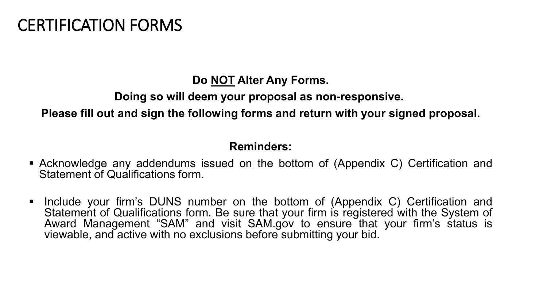### CERTIFICATION FORMS

**Do NOT Alter Any Forms.**

**Doing so will deem your proposal as non-responsive.**

**Please fill out and sign the following forms and return with your signed proposal.**

#### **Reminders:**

- Acknowledge any addendums issued on the bottom of (Appendix C) Certification and Statement of Qualifications form.
- **Include your firm's DUNS number on the bottom of (Appendix C) Certification and** Statement of Qualifications form. Be sure that your firm is registered with the System of Award Management "SAM" and visit SAM.gov to ensure that your firm's status is viewable, and active with no exclusions before submitting your bid.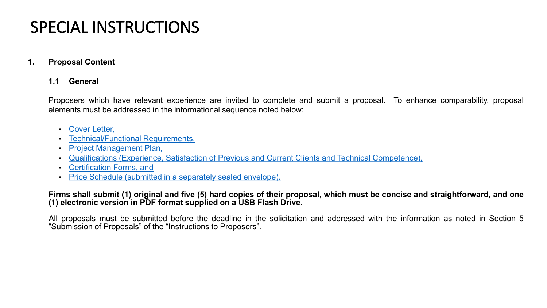### SPECIAL INSTRUCTIONS

#### **1. Proposal Content**

#### **1.1 General**

Proposers which have relevant experience are invited to complete and submit a proposal. To enhance comparability, proposal elements must be addressed in the informational sequence noted below:

- Cover Letter,
- Technical/Functional Requirements,
- Project Management Plan,
- Qualifications (Experience, Satisfaction of Previous and Current Clients and Technical Competence),
- Certification Forms, and
- Price Schedule (submitted in a separately sealed envelope).

#### Firms shall submit (1) original and five (5) hard copies of their proposal, which must be concise and straightforward, and one **(1) electronic version in PDF format supplied on a USB Flash Drive.**

All proposals must be submitted before the deadline in the solicitation and addressed with the information as noted in Section 5 "Submission of Proposals" of the "Instructions to Proposers".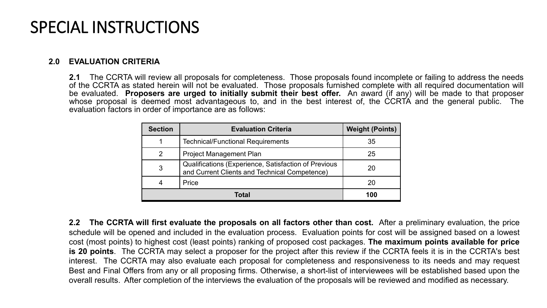### SPECIAL INSTRUCTIONS

#### **2.0 EVALUATION CRITERIA**

**2.1** The CCRTA will review all proposals for completeness. Those proposals found incomplete or failing to address the needs of the CCRTA as stated herein will not be evaluated. Those proposals furnished complete with all required documentation will be evaluated. **Proposers are urged to initially submit their best offer.** An award (if any) will be made to that proposer whose proposal is deemed most advantageous to, and in the best interest of, the CCRTA and the general public. The evaluation factors in order of importance are as follows:

| <b>Section</b> | <b>Evaluation Criteria</b>                                                                            | <b>Weight (Points)</b> |
|----------------|-------------------------------------------------------------------------------------------------------|------------------------|
|                | <b>Technical/Functional Requirements</b>                                                              | 35                     |
| 2              | <b>Project Management Plan</b>                                                                        | 25                     |
| 3              | Qualifications (Experience, Satisfaction of Previous<br>and Current Clients and Technical Competence) | 20                     |
|                | Price                                                                                                 | 20                     |
| Total          |                                                                                                       | 100                    |

**2.2 The CCRTA will first evaluate the proposals on all factors other than cost.** After a preliminary evaluation, the price schedule will be opened and included in the evaluation process. Evaluation points for cost will be assigned based on a lowest cost (most points) to highest cost (least points) ranking of proposed cost packages. **The maximum points available for price is 20 points**. The CCRTA may select a proposer for the project after this review if the CCRTA feels it is in the CCRTA's best interest. The CCRTA may also evaluate each proposal for completeness and responsiveness to its needs and may request Best and Final Offers from any or all proposing firms. Otherwise, a short-list of interviewees will be established based upon the overall results. After completion of the interviews the evaluation of the proposals will be reviewed and modified as necessary.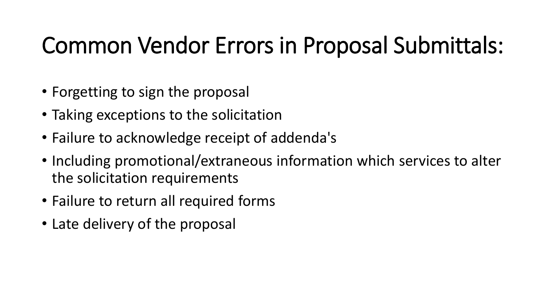## Common Vendor Errors in Proposal Submittals:

- Forgetting to sign the proposal
- Taking exceptions to the solicitation
- Failure to acknowledge receipt of addenda's
- Including promotional/extraneous information which services to alter the solicitation requirements
- Failure to return all required forms
- Late delivery of the proposal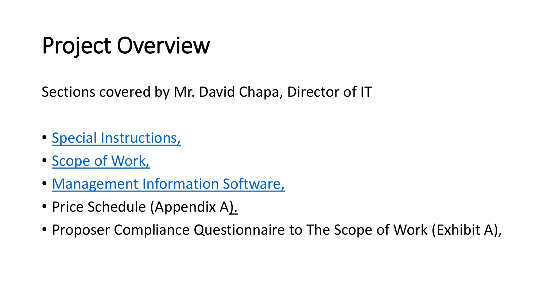## Project Overview

Sections covered by Mr. David Chapa, Director of IT

- Special Instructions,
- Scope of Work,
- Management Information Software,
- Price Schedule (Appendix A).
- Proposer Compliance Questionnaire to The Scope of Work (Exhibit A),